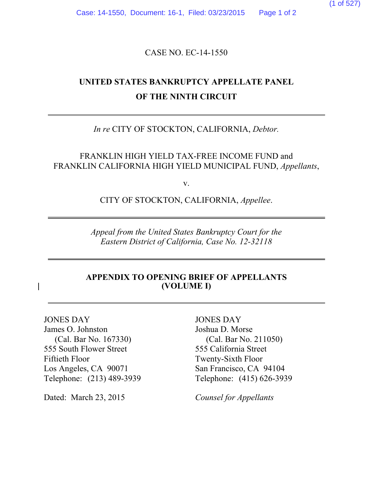(1 of 527)

Case: 14-1550, Document: 16-1, Filed: 03/23/2015 Page 1 of 2

CASE NO. EC-14-1550

# **UNITED STATES BANKRUPTCY APPELLATE PANEL OF THE NINTH CIRCUIT**

### *In re* CITY OF STOCKTON, CALIFORNIA, *Debtor.*

FRANKLIN HIGH YIELD TAX-FREE INCOME FUND and FRANKLIN CALIFORNIA HIGH YIELD MUNICIPAL FUND, *Appellants*,

v.

CITY OF STOCKTON, CALIFORNIA, *Appellee*.

*Appeal from the United States Bankruptcy Court for the Eastern District of California, Case No. 12-32118*

#### **APPENDIX TO OPENING BRIEF OF APPELLANTS (VOLUME I)**

JONES DAY James O. Johnston (Cal. Bar No. 167330) 555 South Flower Street Fiftieth Floor Los Angeles, CA 90071 Telephone: (213) 489-3939

Dated: March 23, 2015 *Counsel for Appellants*

JONES DAY Joshua D. Morse (Cal. Bar No. 211050) 555 California Street Twenty-Sixth Floor San Francisco, CA 94104 Telephone: (415) 626-3939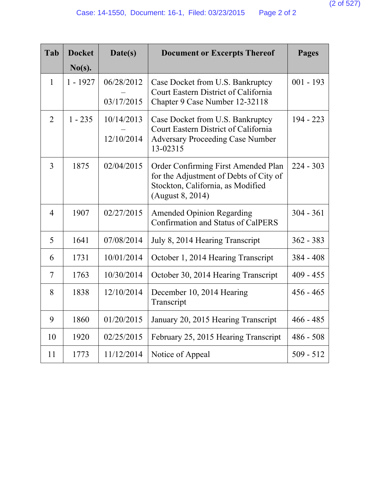| Tab            | <b>Docket</b> | Date(s)    | <b>Document or Excerpts Thereof</b>                                                                                                    | Pages       |
|----------------|---------------|------------|----------------------------------------------------------------------------------------------------------------------------------------|-------------|
|                | $No(s)$ .     |            |                                                                                                                                        |             |
| $\mathbf{1}$   | $1 - 1927$    | 06/28/2012 | Case Docket from U.S. Bankruptcy<br>Court Eastern District of California                                                               | $001 - 193$ |
|                |               | 03/17/2015 | Chapter 9 Case Number 12-32118                                                                                                         |             |
| $\overline{2}$ | $1 - 235$     | 10/14/2013 | Case Docket from U.S. Bankruptcy<br>Court Eastern District of California                                                               | 194 - 223   |
|                |               | 12/10/2014 | <b>Adversary Proceeding Case Number</b><br>13-02315                                                                                    |             |
| 3              | 1875          | 02/04/2015 | Order Confirming First Amended Plan<br>for the Adjustment of Debts of City of<br>Stockton, California, as Modified<br>(August 8, 2014) | $224 - 303$ |
| $\overline{4}$ | 1907          | 02/27/2015 | <b>Amended Opinion Regarding</b><br><b>Confirmation and Status of CalPERS</b>                                                          | $304 - 361$ |
| 5              | 1641          | 07/08/2014 | July 8, 2014 Hearing Transcript                                                                                                        | $362 - 383$ |
| 6              | 1731          | 10/01/2014 | October 1, 2014 Hearing Transcript                                                                                                     | $384 - 408$ |
| $\overline{7}$ | 1763          | 10/30/2014 | October 30, 2014 Hearing Transcript                                                                                                    | $409 - 455$ |
| 8              | 1838          | 12/10/2014 | December 10, 2014 Hearing<br>Transcript                                                                                                | $456 - 465$ |
| 9              | 1860          | 01/20/2015 | January 20, 2015 Hearing Transcript                                                                                                    | $466 - 485$ |
| 10             | 1920          | 02/25/2015 | February 25, 2015 Hearing Transcript                                                                                                   | $486 - 508$ |
| 11             | 1773          | 11/12/2014 | Notice of Appeal                                                                                                                       | $509 - 512$ |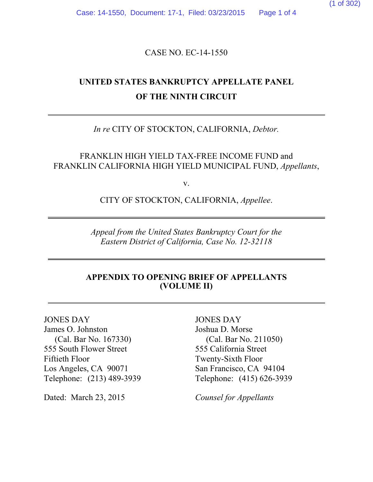(1 of 302)

Case: 14-1550, Document: 17-1, Filed: 03/23/2015 Page 1 of 4

CASE NO. EC-14-1550

# **UNITED STATES BANKRUPTCY APPELLATE PANEL OF THE NINTH CIRCUIT**

### *In re* CITY OF STOCKTON, CALIFORNIA, *Debtor.*

FRANKLIN HIGH YIELD TAX-FREE INCOME FUND and FRANKLIN CALIFORNIA HIGH YIELD MUNICIPAL FUND, *Appellants*,

v.

CITY OF STOCKTON, CALIFORNIA, *Appellee*.

*Appeal from the United States Bankruptcy Court for the Eastern District of California, Case No. 12-32118*

#### **APPENDIX TO OPENING BRIEF OF APPELLANTS (VOLUME II)**

JONES DAY James O. Johnston (Cal. Bar No. 167330) 555 South Flower Street Fiftieth Floor Los Angeles, CA 90071 Telephone: (213) 489-3939

Dated: March 23, 2015 *Counsel for Appellants*

JONES DAY Joshua D. Morse (Cal. Bar No. 211050) 555 California Street Twenty-Sixth Floor San Francisco, CA 94104 Telephone: (415) 626-3939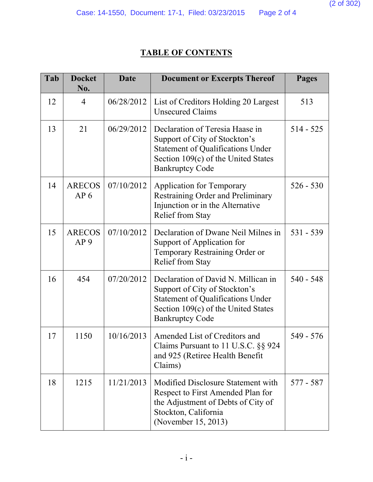## **TABLE OF CONTENTS**

| Tab | <b>Docket</b><br>No.             | <b>Date</b> | <b>Document or Excerpts Thereof</b>                                                                                                                                               | <b>Pages</b> |
|-----|----------------------------------|-------------|-----------------------------------------------------------------------------------------------------------------------------------------------------------------------------------|--------------|
| 12  | $\overline{4}$                   | 06/28/2012  | List of Creditors Holding 20 Largest<br><b>Unsecured Claims</b>                                                                                                                   | 513          |
| 13  | 21                               | 06/29/2012  | Declaration of Teresia Haase in<br>Support of City of Stockton's<br><b>Statement of Qualifications Under</b><br>Section 109(c) of the United States<br><b>Bankruptcy Code</b>     | $514 - 525$  |
| 14  | <b>ARECOS</b><br>AP <sub>6</sub> | 07/10/2012  | <b>Application for Temporary</b><br>Restraining Order and Preliminary<br>Injunction or in the Alternative<br><b>Relief from Stay</b>                                              | $526 - 530$  |
| 15  | <b>ARECOS</b><br>AP <sub>9</sub> | 07/10/2012  | Declaration of Dwane Neil Milnes in<br>Support of Application for<br>Temporary Restraining Order or<br><b>Relief from Stay</b>                                                    | 531 - 539    |
| 16  | 454                              | 07/20/2012  | Declaration of David N. Millican in<br>Support of City of Stockton's<br><b>Statement of Qualifications Under</b><br>Section 109(c) of the United States<br><b>Bankruptcy Code</b> | $540 - 548$  |
| 17  | 1150                             | 10/16/2013  | Amended List of Creditors and<br>Claims Pursuant to 11 U.S.C. §§ 924<br>and 925 (Retiree Health Benefit<br>Claims)                                                                | 549 - 576    |
| 18  | 1215                             | 11/21/2013  | Modified Disclosure Statement with<br>Respect to First Amended Plan for<br>the Adjustment of Debts of City of<br>Stockton, California<br>(November 15, 2013)                      | 577 - 587    |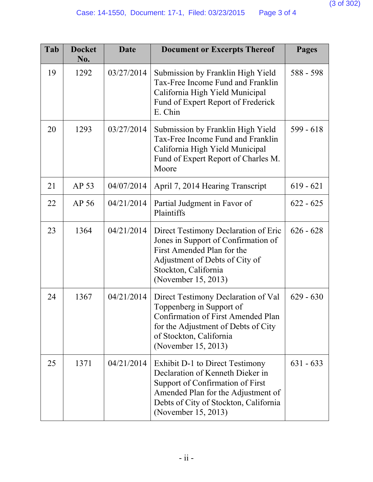| Tab | <b>Docket</b><br>No. | Date       | <b>Document or Excerpts Thereof</b>                                                                                                                                                                           | <b>Pages</b> |
|-----|----------------------|------------|---------------------------------------------------------------------------------------------------------------------------------------------------------------------------------------------------------------|--------------|
| 19  | 1292                 | 03/27/2014 | Submission by Franklin High Yield<br>Tax-Free Income Fund and Franklin<br>California High Yield Municipal<br>Fund of Expert Report of Frederick<br>E. Chin                                                    | 588 - 598    |
| 20  | 1293                 | 03/27/2014 | Submission by Franklin High Yield<br>Tax-Free Income Fund and Franklin<br>California High Yield Municipal<br>Fund of Expert Report of Charles M.<br>Moore                                                     | $599 - 618$  |
| 21  | AP 53                | 04/07/2014 | April 7, 2014 Hearing Transcript                                                                                                                                                                              | $619 - 621$  |
| 22  | AP 56                | 04/21/2014 | Partial Judgment in Favor of<br>Plaintiffs                                                                                                                                                                    | $622 - 625$  |
| 23  | 1364                 | 04/21/2014 | Direct Testimony Declaration of Eric<br>Jones in Support of Confirmation of<br>First Amended Plan for the<br>Adjustment of Debts of City of<br>Stockton, California<br>(November 15, 2013)                    | $626 - 628$  |
| 24  | 1367                 | 04/21/2014 | Direct Testimony Declaration of Val<br>Toppenberg in Support of<br><b>Confirmation of First Amended Plan</b><br>for the Adjustment of Debts of City<br>of Stockton, California<br>(November 15, 2013)         | $629 - 630$  |
| 25  | 1371                 | 04/21/2014 | Exhibit D-1 to Direct Testimony<br>Declaration of Kenneth Dieker in<br>Support of Confirmation of First<br>Amended Plan for the Adjustment of<br>Debts of City of Stockton, California<br>(November 15, 2013) | $631 - 633$  |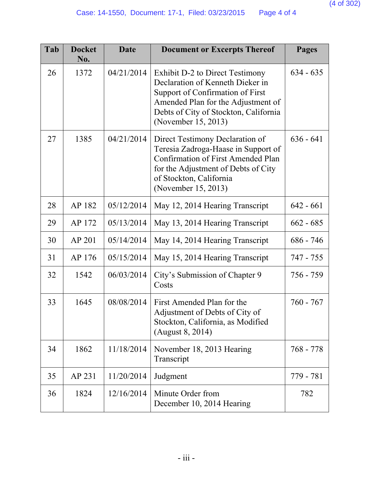| Tab | <b>Docket</b><br>No. | <b>Date</b> | <b>Document or Excerpts Thereof</b>                                                                                                                                                                           | <b>Pages</b> |
|-----|----------------------|-------------|---------------------------------------------------------------------------------------------------------------------------------------------------------------------------------------------------------------|--------------|
| 26  | 1372                 | 04/21/2014  | Exhibit D-2 to Direct Testimony<br>Declaration of Kenneth Dieker in<br>Support of Confirmation of First<br>Amended Plan for the Adjustment of<br>Debts of City of Stockton, California<br>(November 15, 2013) | $634 - 635$  |
| 27  | 1385                 | 04/21/2014  | Direct Testimony Declaration of<br>Teresia Zadroga-Haase in Support of<br><b>Confirmation of First Amended Plan</b><br>for the Adjustment of Debts of City<br>of Stockton, California<br>(November 15, 2013)  | $636 - 641$  |
| 28  | AP 182               | 05/12/2014  | May 12, 2014 Hearing Transcript                                                                                                                                                                               | $642 - 661$  |
| 29  | AP 172               | 05/13/2014  | May 13, 2014 Hearing Transcript                                                                                                                                                                               | $662 - 685$  |
| 30  | AP 201               | 05/14/2014  | May 14, 2014 Hearing Transcript                                                                                                                                                                               | $686 - 746$  |
| 31  | AP 176               | 05/15/2014  | May 15, 2014 Hearing Transcript                                                                                                                                                                               | 747 - 755    |
| 32  | 1542                 | 06/03/2014  | City's Submission of Chapter 9<br>Costs                                                                                                                                                                       | 756 - 759    |
| 33  | 1645                 | 08/08/2014  | First Amended Plan for the<br>Adjustment of Debts of City of<br>Stockton, California, as Modified<br>(August 8, 2014)                                                                                         | $760 - 767$  |
| 34  | 1862                 | 11/18/2014  | November 18, 2013 Hearing<br>Transcript                                                                                                                                                                       | 768 - 778    |
| 35  | AP 231               | 11/20/2014  | Judgment                                                                                                                                                                                                      | 779 - 781    |
| 36  | 1824                 | 12/16/2014  | Minute Order from<br>December 10, 2014 Hearing                                                                                                                                                                | 782          |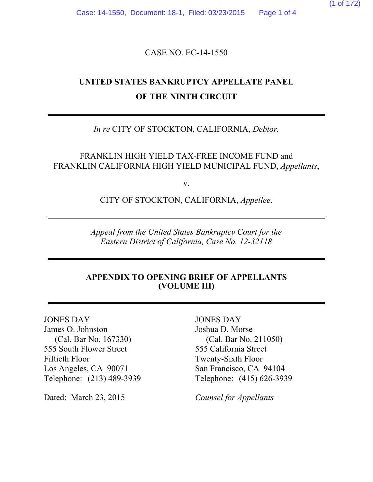(1 of 172)

## CASE NO. EC-14-1550

# **UNITED STATES BANKRUPTCY APPELLATE PANEL OF THE NINTH CIRCUIT**

### *In re* CITY OF STOCKTON, CALIFORNIA, *Debtor.*

FRANKLIN HIGH YIELD TAX-FREE INCOME FUND and FRANKLIN CALIFORNIA HIGH YIELD MUNICIPAL FUND, *Appellants*,

v.

CITY OF STOCKTON, CALIFORNIA, *Appellee*.

*Appeal from the United States Bankruptcy Court for the Eastern District of California, Case No. 12-32118*

### **APPENDIX TO OPENING BRIEF OF APPELLANTS (VOLUME III)**

JONES DAY James O. Johnston (Cal. Bar No. 167330) 555 South Flower Street Fiftieth Floor Los Angeles, CA 90071 Telephone: (213) 489-3939

Dated: March 23, 2015 *Counsel for Appellants*

JONES DAY Joshua D. Morse (Cal. Bar No. 211050) 555 California Street Twenty-Sixth Floor San Francisco, CA 94104 Telephone: (415) 626-3939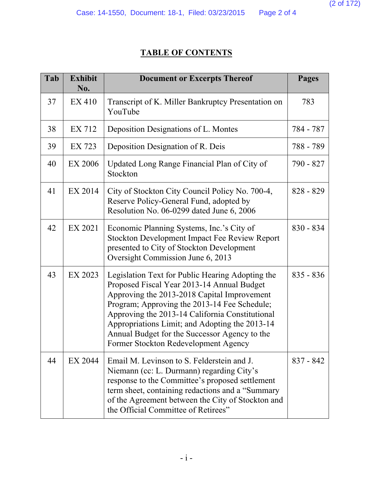## **TABLE OF CONTENTS**

| Tab | <b>Exhibit</b><br>No. | <b>Document or Excerpts Thereof</b>                                                                                                                                                                                                                                                                                                                                                         | <b>Pages</b> |
|-----|-----------------------|---------------------------------------------------------------------------------------------------------------------------------------------------------------------------------------------------------------------------------------------------------------------------------------------------------------------------------------------------------------------------------------------|--------------|
| 37  | EX 410                | Transcript of K. Miller Bankruptcy Presentation on<br>YouTube                                                                                                                                                                                                                                                                                                                               | 783          |
| 38  | EX 712                | Deposition Designations of L. Montes                                                                                                                                                                                                                                                                                                                                                        | 784 - 787    |
| 39  | EX 723                | Deposition Designation of R. Deis                                                                                                                                                                                                                                                                                                                                                           | 788 - 789    |
| 40  | <b>EX 2006</b>        | Updated Long Range Financial Plan of City of<br>Stockton                                                                                                                                                                                                                                                                                                                                    | 790 - 827    |
| 41  | EX 2014               | City of Stockton City Council Policy No. 700-4,<br>Reserve Policy-General Fund, adopted by<br>Resolution No. 06-0299 dated June 6, 2006                                                                                                                                                                                                                                                     | $828 - 829$  |
| 42  | EX 2021               | Economic Planning Systems, Inc.'s City of<br>Stockton Development Impact Fee Review Report<br>presented to City of Stockton Development<br>Oversight Commission June 6, 2013                                                                                                                                                                                                                | $830 - 834$  |
| 43  | EX 2023               | Legislation Text for Public Hearing Adopting the<br>Proposed Fiscal Year 2013-14 Annual Budget<br>Approving the 2013-2018 Capital Improvement<br>Program; Approving the 2013-14 Fee Schedule;<br>Approving the 2013-14 California Constitutional<br>Appropriations Limit; and Adopting the 2013-14<br>Annual Budget for the Successor Agency to the<br>Former Stockton Redevelopment Agency | $835 - 836$  |
| 44  | EX 2044               | Email M. Levinson to S. Felderstein and J.<br>Niemann (cc: L. Durmann) regarding City's<br>response to the Committee's proposed settlement<br>term sheet, containing redactions and a "Summary<br>of the Agreement between the City of Stockton and<br>the Official Committee of Retirees"                                                                                                  | $837 - 842$  |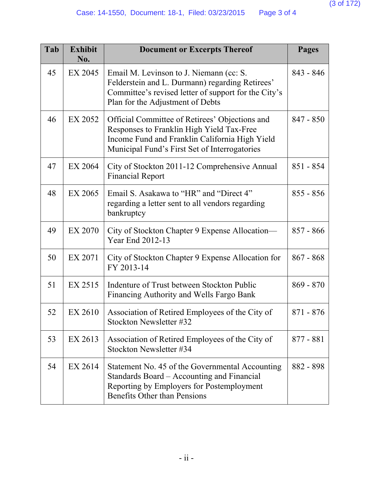| Tab | <b>Exhibit</b><br>No. | <b>Document or Excerpts Thereof</b>                                                                                                                                                            | <b>Pages</b> |
|-----|-----------------------|------------------------------------------------------------------------------------------------------------------------------------------------------------------------------------------------|--------------|
| 45  | EX 2045               | Email M. Levinson to J. Niemann (cc: S.<br>Felderstein and L. Durmann) regarding Retirees'<br>Committee's revised letter of support for the City's<br>Plan for the Adjustment of Debts         | $843 - 846$  |
| 46  | EX 2052               | Official Committee of Retirees' Objections and<br>Responses to Franklin High Yield Tax-Free<br>Income Fund and Franklin California High Yield<br>Municipal Fund's First Set of Interrogatories | $847 - 850$  |
| 47  | EX 2064               | City of Stockton 2011-12 Comprehensive Annual<br><b>Financial Report</b>                                                                                                                       | $851 - 854$  |
| 48  | EX 2065               | Email S. Asakawa to "HR" and "Direct 4"<br>regarding a letter sent to all vendors regarding<br>bankruptcy                                                                                      | $855 - 856$  |
| 49  | <b>EX 2070</b>        | City of Stockton Chapter 9 Expense Allocation—<br>Year End 2012-13                                                                                                                             | $857 - 866$  |
| 50  | EX 2071               | City of Stockton Chapter 9 Expense Allocation for<br>FY 2013-14                                                                                                                                | $867 - 868$  |
| 51  | EX 2515               | Indenture of Trust between Stockton Public<br>Financing Authority and Wells Fargo Bank                                                                                                         | $869 - 870$  |
| 52  | EX 2610               | Association of Retired Employees of the City of<br>Stockton Newsletter #32                                                                                                                     | 871 - 876    |
| 53  | EX 2613               | Association of Retired Employees of the City of<br>Stockton Newsletter #34                                                                                                                     | $877 - 881$  |
| 54  | EX 2614               | Statement No. 45 of the Governmental Accounting<br>Standards Board – Accounting and Financial<br>Reporting by Employers for Postemployment<br>Benefits Other than Pensions                     | 882 - 898    |